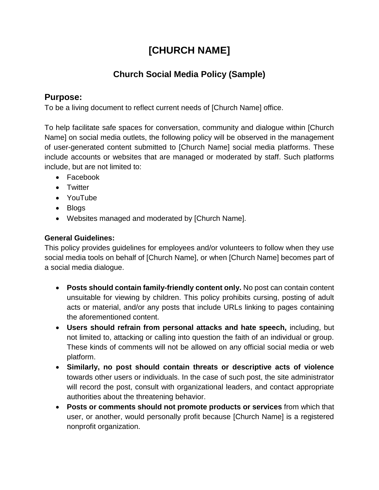# **[CHURCH NAME]**

## **Church Social Media Policy (Sample)**

### **Purpose:**

To be a living document to reflect current needs of [Church Name] office.

To help facilitate safe spaces for conversation, community and dialogue within [Church Name] on social media outlets, the following policy will be observed in the management of user-generated content submitted to [Church Name] social media platforms. These include accounts or websites that are managed or moderated by staff. Such platforms include, but are not limited to:

- Facebook
- Twitter
- YouTube
- Blogs
- Websites managed and moderated by [Church Name].

#### **General Guidelines:**

This policy provides guidelines for employees and/or volunteers to follow when they use social media tools on behalf of [Church Name], or when [Church Name] becomes part of a social media dialogue.

- **Posts should contain family-friendly content only.** No post can contain content unsuitable for viewing by children. This policy prohibits cursing, posting of adult acts or material, and/or any posts that include URLs linking to pages containing the aforementioned content.
- **Users should refrain from personal attacks and hate speech,** including, but not limited to, attacking or calling into question the faith of an individual or group. These kinds of comments will not be allowed on any official social media or web platform.
- **Similarly, no post should contain threats or descriptive acts of violence** towards other users or individuals. In the case of such post, the site administrator will record the post, consult with organizational leaders, and contact appropriate authorities about the threatening behavior.
- **Posts or comments should not promote products or services** from which that user, or another, would personally profit because [Church Name] is a registered nonprofit organization.